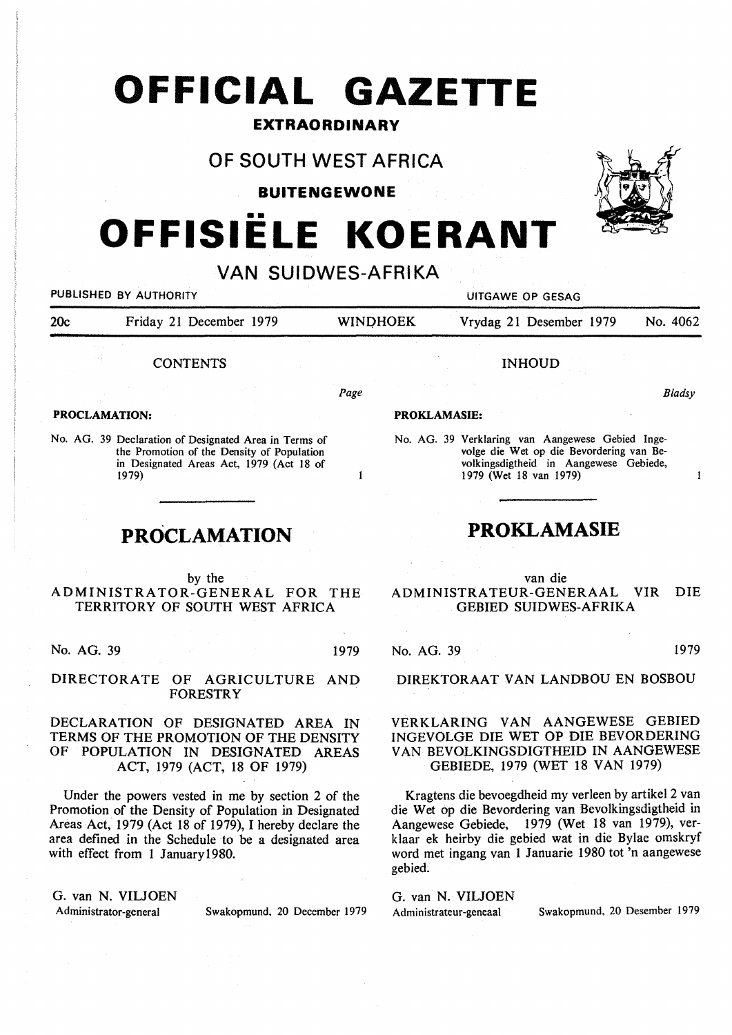# **OFFICIAL GAZETTE**

#### **EXTRAORDINARY**

### **OF SOUTH WEST AFRICA**

**BUITENGEWONE** 

# **OFFISIELE KOERANT**

#### **VAN SUIDWES-AFRIKA**

PUBLISHED BY AUTHORITY **AUTHORITY EXAGE ASSAULT ASSAULTED AT A STATE OF A STATE OF GESAG** 20c Friday 21 December 1979 WINOHOEK Vrydag 21 Desember 1979 No. 4062 **CONTENTS PROCLAMATION:**  No. AG. 39 Declaration of Designated Area in Terms of Page INHOUD *Bladsy*  **PROKLAMASIE:**  No. AG. 39 Verklaring van Aangewese Gebied Inge-

 $\mathbf{I}$ 

the Promotion of the Density of Population in Designated Areas Act, 1979 (Act 18 of 1979)

## **PROCLAMATION**

by the ADMINISTRATOR-GENERAL FOR THE TERRITORY OF SOUTH WEST AFRICA

No. AG. 39 1979

DIRECTORATE OF AGRICULTURE AND FORESTRY

DECLARATION OF DESIGNATED AREA IN TERMS OF THE PROMOTION OF THE DENSITY OF POPULATION IN DESIGNATED AREAS ACT, 1979 (ACT, 18 OF 1979)

Under the powers vested in me by section 2 of the Promotion of the Density of Population in Designated Areas Act, 1979 (Act 18 of 1979), I hereby declare the area defined in the Schedule to be a designated area with effect from 1 Januaryl980.

G. van N. VILJOEN

Administrator-general Swakopmund, 20 December 1979

volge die Wet op die Bevordering van Bevolkingsdigtheid in Aangewese Gebiede, 1979 (Wet 18 van 1979)

## **PROKLAMASIE**

van die ADMINISTR.ATEUR-GENERAAL VIR DIE GEBIED SUIDWES-AFRIKA

No. AG. 39 1979

DIREKTORAAT VAN LANDBOU EN BOSBOU

#### VERKLARING VAN AANGEWESE GEBIED INGEVOLGE DIE WET OP DIE BEVORDERING VAN BEVOLKINGSDIGTHEID IN AANGEWESE GEBIEDE, 1979 (WET 18 VAN 1979)

Kragtens die bevoegdheid my verleen by artikel 2 van die Wet op die Bevordering van Bevolkingsdigtheid in Aangewese Gebiede, 1979 (Wet 18 van 1979), verklaar ek heirby die gebied wat in die Bylae omskryf word met ingang van 1 Januarie 1980 tot 'n aangewese gebied.

G. van **N. VILJOEN** 

Administrateur-geneaal Swakopmund, 20 Desember 1979



 $\mathbf{I}$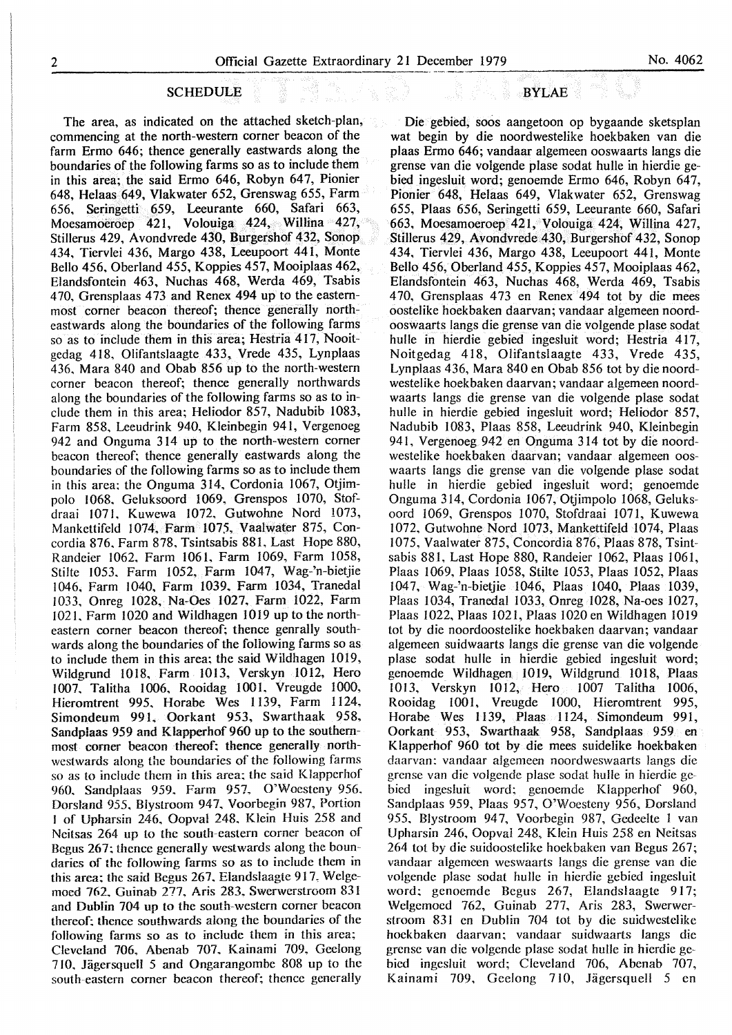#### **SCHEDULE**

The area, as indicated on the attached sketch-plan, commencing at the north-western corner beacon of the farm Ermo 646; thence generally eastwards along the boundaries of the following farms so as to include them in this area; the said Ermo 646, Robyn 647, Pionier 648, Helaas 649, Vlakwater 652, Grenswag 655, Farm 656, Seringetti 659, Leeurante 660, Safari 663, Moesamoeroep 421, Volouiga 424, Willina 427, Stillerus 429, Avondvrede 430, Burgershof 432, Sonop 434, Tiervlei 436, Margo 438, Leeupoort 441, Monte Bello 456, Oberland 455, Koppies 457, Mooiplaas 462, Elandsfontein 463, Nuchas 468, Werda 469, Tsabis 4 70. Grensplaas 4 73 and Renex 494 up to the easternmost corner beacon thereof; thence generally northeastwards along the boundaries of the following farms so as to include them in this area; Hestria 417, Nooitgedag 418, Olifantslaagte 433, Vrede 435, Lynplaas 436. Mara 840 and Obab 856 up to the north-western corner beacon thereof; thence generally northwards along the boundaries of the following farms so as to include them in this area; Heliodor 857, Nadubib 1083, Farm 858. Leeudrink 940, Kleinbegin 941, Vergenoeg 942 and Onguma 314 up to the north-western corner beacon thereof; thence generally eastwards along the boundaries of the following farms so as to include them in this area; the Onguma 314, Cordonia 1067, Otjimpolo !068, Geluksoord 1069, Grenspos 1070, Stofdraai 1071, Kuwewa 1072, Gutwohne Nord 1073, Mankettifeld 1074, Farm 1075, Vaalwater 875, Concordia 876. Farm 878, Tsintsabis 881, Last Hope 880, Randeier 1062, Farm 1061, Farm 1069, Farm 1058, Stilte 1053. Farm 1052, Farm 1047, Wag-'n-bietjie I 046, Farm 1040, Farm 1039, Farm 1034, Tranedal 1033, Onreg 1028, Na-Oes 1027, Farm 1022, Farm 102 I. Farm 1020 and Wildhagen 1019 up to the northeastern corner beacon thereof; thence genrally southwards along the boundaries of the foliowing farms so as to include them in this area; the said Wildhagen 1019, Wildgrund 1018. Farm 1013, Verskyn 1012, Hero 1007. Talitha 1006, Rooidag 1001. Vreugde 1000, Hieromtrent 995. Horabe Wes I 139, Farm 1124, Simondeum 991. Oorkant 953, Swarthaak 958, Sandplaas 959 and Klapperhof 960 up to the southernmost corner beacon thereof; thence generally northwestwards along the boundaries of the following farms so as to include them in this area; the said Klapperhof 960. Sandplaas 959, Farm 957, O'Woesteny 956. Dorsland *955,* Blystroom 947, Voorbegin 987, Portion I of Upharsin 246. Oopval 248. Klein Huis 258 and Neitsas 264 up to the south-eastern comer beacon of Begus 267; thence generally westwards along the boundaries of the following farms so as to include them in this area; the said Begus 267, Elandslaagte 917, Welgemoed 762, Guinab 277, Aris 283, Swerwerstroom 831 and Dublin 704 up to the south-western corner beacon thereof; thence southwards along the boundaries of the following farms so as to include them in this area; Cleveland 706. Abenab 707. Kainami 709. Geelong 7 IO. JigersqueH *5* and Ongarangombe 808 up to the south-eastern corner beacon thereof; thence generally

# er 1979<br>BYLAE BYLAE

Die gebied, soos aangetoon op bygaande sketsplan wat begin by die noordwestelike hoekbaken van die plaas Ermo 646; vandaar algemeen ooswaarts langs die grense van die volgende plase sodat hulle in hierdie gebied ingesluit word; genoemde Ermo 646, Robyn 647, Pionier 648, Helaas 649, Vlakwater 652, Grenswag 655, Plaas 656, Seringetti 659, Leeurante 660, Safari 663, Moesamoeroep 421, Volouiga 424, Willina 427, Stillerus 429, Avondvrede 430, Burgershof 432, Sonop 434, Tiervlei 436, Margo 438, Leeupoort 441, Monte Bello 456, Oberland 455, Koppies 457, Mooiplaas 462, Elandsfontein 463, Nuchas 468, Werda 469, Tsabis 470, Grensplaas 473 en Renex 494 tot by die mees oostelike hoekbaken daarvan; vandaar algemeen noordooswaarts langs die grense van die volgende plase sodat hulle in hierdie gebied ingesluit word; Hestria 417, Noitgedag 418, Olifantslaagte 433, Vrede 435, Lynplaas 436, Mara 840 en Obab 856 tot by die noordwestelike hoekbaken daarvan; vandaar algemeen noordwaarts langs die grense van die volgende plase sodat hulle in hierdie gebied ingesluit word; Heliodor 857, Nadubib 1083, Plaas 858, Leeudrink 940, Kleinbegin 941, Vergenoeg 942 en Onguma 314 tot by die noordwestelike hoekbaken daarvan; vandaar algemeen ooswaarts langs die grense van die volgende plase sodat hulle in hierdie gebied ingesluit word; genoemde Onguma 314, Cordonia 1067, Otjimpolo 1068, Geluksoord 1069, Grenspos 1070, Stofdraai 1071, Kuwewa 1072, Gutwohne Nord 1073, Mankettifeld 1074, Plaas 1075, Vaalwater 875, Concordia 876, Plaas 878, Tsintsabis 881, Last Hope 880, Randeier 1062, Plaas 1061, Plaas 1069, Plaas 1058, Stilte 1053, Plaas 1052, Plaas 1047, Wag-'n-bietjie 1046, Plaas 1040, Plaas 1039, Plaas 1034, Tranedal 1033, Onreg 1028, Na-oes 1027, Plaas 1022, Plaas 1021, Plaas 1020 en Wildhagen 1019 tot by die noordoostelike hoekbaken daarvan; vandaar algemeen suidwaarts langs die grense van die volgende plase sodat hulle in hierdie gebied ingesluit word; genoemde Wildhagen 1019, Wildgrund 1018, Plaas 1013, Verskyn 1012, Hero 1007 Talitha 1006, Rooidag 1001, Vreugde 1000, Hieromtrent 995, Horabe Wes 1139, Plaas 1124, Simondeum 991, Oorkant 953, Swarthaak 958, Sandplaas 959 en Klapperhof 960 tot by die mees suidelike hoekbaken daarvan; vandaar algemeen noordweswaarts langs die grense van die volgende plase sodat hulle in hierdie gebied ingesluit word; genoemde Klapperhof 960, Sandplaas 959, Plaas 957, O'Woesteny 956, Dorsland 955. Blystroom 947, Voorbegin 987, Gedeelte 1 van Upharsin 246, Oopval 248, Klein Huis 258 en Neitsas 264 tot by die suidoostelike hoekbaken van Begus 267; vandaar algemeen weswaarts langs die grense van die volgende plase sodat hulle in hierdie gebied ingesluit word; genoemde Begus 267, Elandslaagte 917; Welgemoed 762, Guinab 277, Aris 283, Swerwerstroom 831 en Dublin 704 tot by die suidwestelike hoekbaken daarvan; vandaar suidwaarts langs die grense van die volgende plase sodat hulle in hierdie gebied ingesluit word; Cleveland 706, Abenab 707, Kainami 709. Geelong 710, Jagersquell 5 en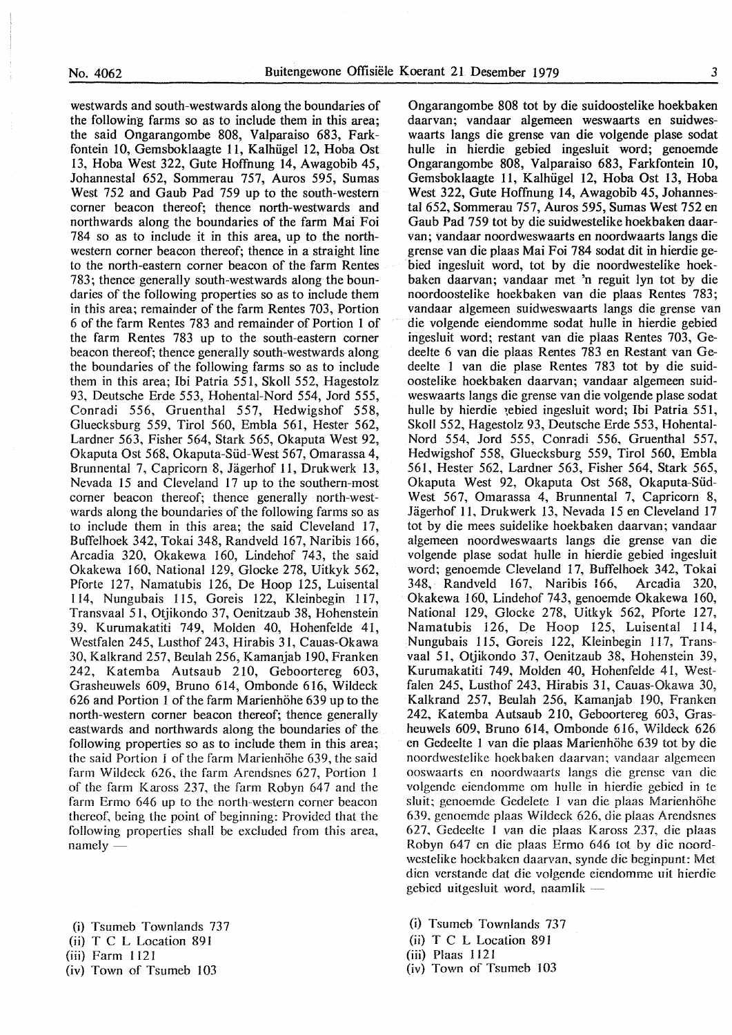westwards and south-westwards along the boundaries of the following farms so as to include them in this area; the said Ongarangombe 808, Valparaiso 683, Farkfontein 10, Gemsboklaagte 11, Kalhiigel 12, Hoba Ost 13, Hoba West 322, Gute Hoffnung 14, Awagobib 45, Johannestal 652, Sommerau 757, Auros 595, Sumas West 752 and Gaub Pad 759 up to the south-western corner beacon thereof; thence north-westwards and northwards along the boundaries of the farm Mai Foi 784 so as to include it in this area, up to the northwestern corner beacon thereof; thence in a straight line to the north-eastern corner beacon of the farm Rentes 783; thence generally south-westwards along the boundaries of the following properties so as to include them in this area; remainder of the farm Rentes 703, Portion 6 of the farm Rentes 783 and remainder of Portion 1 of the farm Rentes 783 up to the south-eastern corner beacon thereof; thence generally south-westwards along the boundaries of the following farms so as to include them in this area; Ibi Patria 551, Skoll 552, Hagestolz 93, Deutsche Erde 553, Hohental-Nord 554, Jord 555, Conradi 556, Gruenthal 557, Hedwigshof 558, Gluecksburg 559, Tirol 560, Embla 561, Hester 562, Lardner 563, Fisher 564, Stark 565, Okaputa West 92, Okaputa Ost 568, Okaputa-Siid-West 567, Omarassa 4, Brunnental 7, Capricorn 8, Jagerhof 11, Drukwerk 13, Nevada 15 and Cleveland 17 up to the southern-most corner beacon thereof; thence generally north-westwards along the boundaries of the following farms so as to include them in this area; the said Cleveland 17, Buffelhoek 342, Tokai 348, Randveld 167, Naribis 166, Arcadia 320, Okakewa 160, Lindehof 743, the said Okakewa 160, National 129, Glocke 278, Uitkyk 562, Pforte 127, Namatubis 126, De Hoop 125, Luisental I 14, Nungubais 115, Goreis 122, Kleinbegin 117, Transvaal 51, Otjikondo 37, Oenitzaub 38, Hohenstein 39, Kurumakatiti 749, Molden 40, Hohenfelde 41, Westfalen 245, Lusthof 243, Hirabis 31, Cauas-Okawa 30, Kalkrand 257, Beulah 256, Kamanjab 190, Franken 242, Katemba Autsaub 210, Geboortereg 603, Grasheuwels 609, Bruno 614, Ombonde 616, Wildeck 626 and Portion 1 of the farm Marienhohe 639 up to the north-western corner beacon thereof; thence generally east wards and northwards along the boundaries of the following properties so as to include them in this area; the said Portion 1 of the farm Marienhöhe 639, the said farm Wildeck 626, the farm Arendsnes 627, Portion 1 of the farm K aross 237, the farm Robyn 647 and the farm Ermo 646 up to the north-western corner beacon thereof, being the point of beginning: Provided that the following properties shall be excluded from this area, namely -

- (i) Tsumeb Townlands. 737
- (ii) T C L Location 891
- (iii) Farm 1121
- (iv) Town of Tsumeb 103

Ongarangombe 808 tot by die suidoostelike hoekbaken daarvan; vandaar algemeen weswaarts en suidweswaarts langs die grense van die volgende plase sodat hulle in hierdie gebied ingesluit word; genoemde Ongarangombe 808, Valparaiso 683, Farkfontein 10, Gemsboklaagte 11, Kalhiigel 12, Hoba Ost 13, Hoba West 322, Gute Hoffnung 14, Awagobib 45, Johannestal 652, Sommerau 757, Auros 595, Sumas West 752 en Gaub Pad 759 tot by die suidwestelike hoekbaken daarvan; vandaar noordweswaarts en noordwaarts langs die grense van die plaas Mai Foi 784 sodat dit in hierdie gebied ingesluit word, tot by die noordwestelike hoekbaken daarvan; vandaar met 'n reguit lyn tot by die noordoostelike hoekbaken van die plaas Rentes 783; vandaar algemeen suidweswaarts langs die grense van die volgende eiendomme sodat hulle in hierdie gebied ingesluit word; restant van die plaas Rentes 703, Gedeelte 6 van die plaas Rentes 783 en Restant van Gedeelte l van die plase Rentes 783 tot by die suidoostelike hoekbaken daarvan; vandaar algemeen suidweswaarts fangs die grense van die volgende plase sodat hulle by hierdie rebied ingesluit word; Ibi Patria 551, Skoll 552, Hagestolz 93, Deutsche Erde 553, Hohental-Nord 554, Jord 555, Conradi 556, Gruenthal 557, Hedwigshof 558, Gluecksburg 559, Tirol 560, Embla 561, Hester 562, Lardner 563, Fisher 564, Stark 565, Okaputa West 92, Okaputa Ost 568, Okaputa-Siid-West 567, Omarassa 4, Brunnental 7, Capricorn 8, Jagerhof 11, Drukwerk 13, Nevada 15 en Cleveland 17 tot by die mees suidelike hoekbaken daarvan; vandaar algemeen noordweswaarts Iangs die grense van die volgende plase sodat hulle in hierdie gebied ingesluit word; genoemde Cleveland 17, Buffelhoek 342, Tokai 348, Randveld 167, Naribis 166, Arcadia 320, Okakewa 160, Lindehof 743, genoemde Okakewa 160, National 129, Glocke 278, Uitkyk 562, Pforte 127, Namatubis 126, De Hoop 125, Luisental 114, Nungubais 115, Goreis 122, Kleinbegin 117, Transvaal 51, Otjikondo 37, Oenitzaub 38, Hohenstein 39, Kurumakatiti 749, Molden 40, Hohenfelde 41, Westfalen 245, Lusthof 243, Hirabis 31, Cauas-Okawa 30, Kalkrand 257, Beulah 256, Kamanjab 190, Franken 242, Katemba Autsaub 210, Geboortereg 603, Grasheuwels 609, Bruno 614, Ombonde 616, Wildeck 626 en Gedeelte 1 van die plaas Marienhöhe 639 tot by die noordwestelike hoekbaken daarvan; vandaar algemeen ooswaarts en noordwaarts langs die grense van die volgende eiendomme om hulle in hierdie gebied in te sluit; genoemde Gedelete 1 van die plaas Marienhöhe 639, genoemde plaas Wildeck 626, die plaas Arendsnes 627. Gedeelte 1 van die plaas Kaross 237, die plaas Robyn 647 en die plaas Ermo 646 tot by die noordwestelike hoekbaken daarvan, synde die beginpunt: Met dien verstande dat die volgende eiendomme uit hierdie gebied uitgesluit word, naamlik -

- (i) Tsumeb Townlands 737
- (ii) T C L Location 891
- (iii) Plaas 1121
- (iv) Town of Tsumeb 103